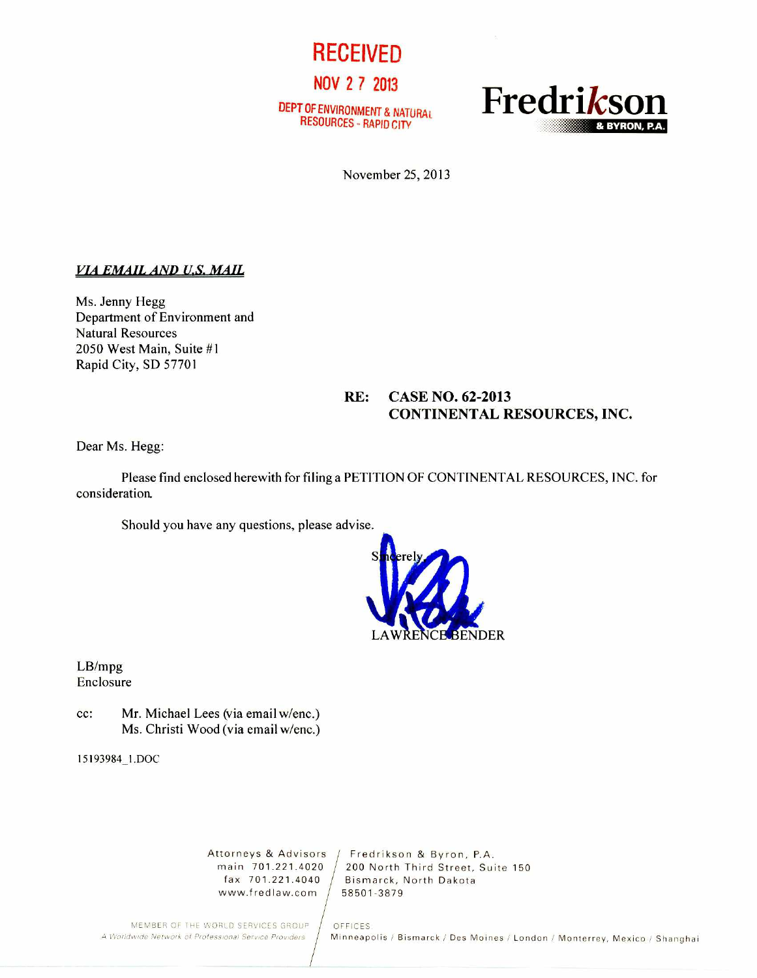



November 25, 2013

#### **VIA EMAIL AND U.S. MAIL**

Ms. Jenny Hegg Department of Environment and Natural Resources 2050 West Main, Suite #1 Rapid City, SD 57701

# **RE: CASE NO. 62-2013 CONTINENTAL RESOURCES, INC.**

Dear Ms. Hegg:

Please find enclosed herewith for filing a PETITION OF CONTINENTAL RESOURCES, INC. for consideration.

Should you have any questions, please advise.



LB/mpg Enclosure

cc: Mr. Michael Lees (via email w/enc.) Ms. Christi Wood (via email w/enc.)

151939841. DOC

www.fredlaw.com 58501-3879

Attorneys & Advisors / Fredrikson & Byron, P.A.<br>main 701.221.4020 / 200 North Third Street, Sui main 701.221.4020  $/$  200 North Third Street, Suite 150 fax 701.221.4040  $/$  Bismarck, North Dakota Bismarck, North Dakota<br>58501-3879

MEMBER OF THE WORLD SERVICES GROUP OFFICES<br>A Watidwide Network of Professional Service Providers Minneap

Minneapolis / Bismarck / Des Moines / London / Monterrey, Mexico / Shanghai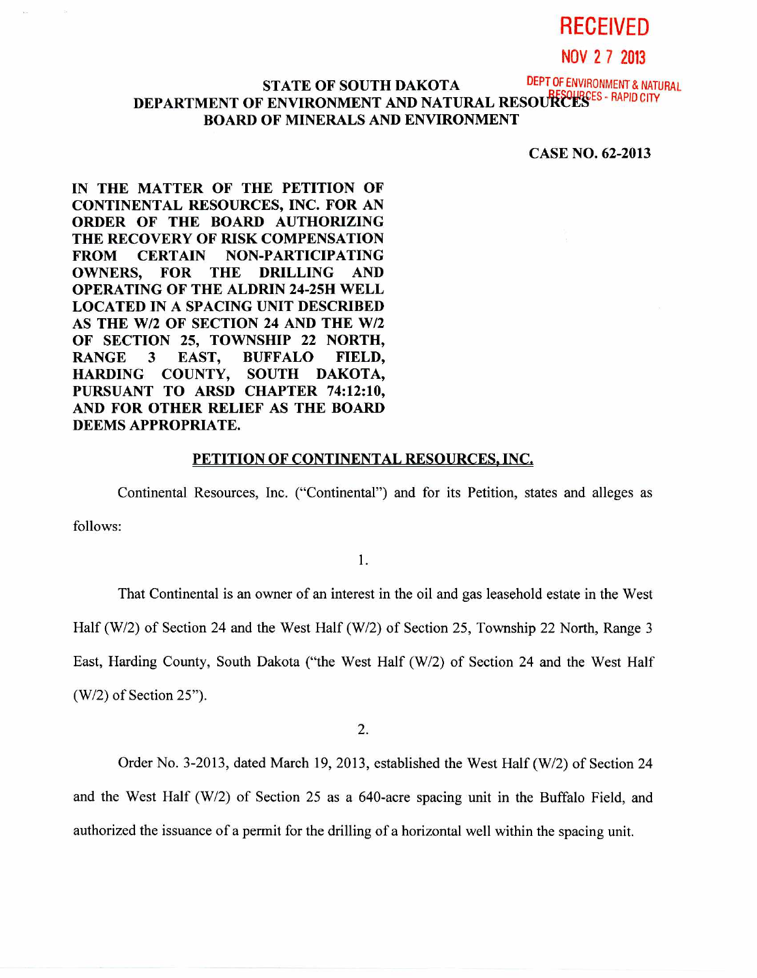**RECEIVED** 

NOV 2 7 2013

### **STATE OF SOUTH DAKOTA** DEPLATED FOR ANTURAL **DEPARTMENT OF ENVIRONMENT AND NATURAL RESOURCES**ES - RAPID CITY **BOARD OF MINERALS AND ENVIRONMENT**

**CASE NO. 62-2013** 

**IN THE MATTER OF THE PETITION OF CONTINENTAL RESOURCES, INC. FOR AN ORDER OF THE BOARD AUTHORIZING THE RECOVERY OF RISK COMPENSATION FROM CERTAIN NON-PARTICIPATING OWNERS, FOR THE DRILLING AND OPERATING OF THE ALDRIN 24-25H WELL LOCATED IN A SPACING UNIT DESCRIBED AS THE W/2 OF SECTION 24 AND THE W/2 OF SECTION 25, TOWNSHIP 22 NORTH, RANGE 3 EAST, BUFFALO FIELD, COUNTY, PURSUANT TO ARSD CHAPTER 74:12:10, AND FOR OTHER RELIEF AS THE BOARD DEEMS APPROPRIATE.** 

#### **PETITION OF CONTINENTAL RESOURCES, INC,**

Continental Resources, Inc. ("Continental") and for its Petition, states and alleges as

follows:

1.

That Continental is an owner of an interest in the oil and gas leasehold estate in the West Half (W/2) of Section 24 and the West Half (W/2) of Section 25, Township 22 North, Range 3 East, Harding County, South Dakota ("the West Half (W/2) of Section 24 and the West Half (W/2) of Section 25").

2.

Order No. 3-2013, dated March 19, 2013, established the West Half (W/2) of Section 24 and the West Half (W/2) of Section 25 as a 640-acre spacing unit in the Buffalo Field, and authorized the issuance of a permit for the drilling of a horizontal well within the spacing unit.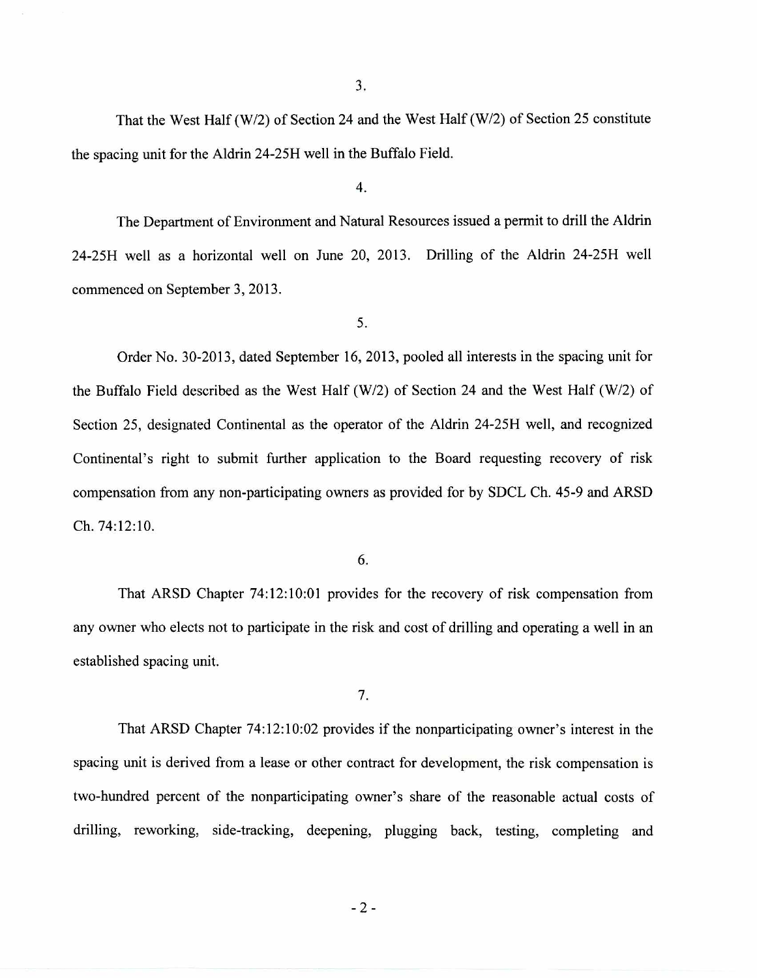That the West Half (W/2) of Section 24 and the West Half (W/2) of Section 25 constitute the spacing unit for the Aldrin 24-25H well in the Buffalo Field.

3.

4.

The Department of Environment and Natural Resources issued a permit to drill the Aldrin 24-25H well as a horizontal well on June 20, 2013. Drilling of the Aldrin 24-25H well commenced on September 3, 2013.

5.

Order No. 30-2013, dated September 16, 2013, pooled all interests in the spacing unit for the Buffalo Field described as the West Half (W/2) of Section 24 and the West Half (W/2) of Section 25, designated Continental as the operator of the Aldrin 24-25H well, and recognized Continental's right to submit further application to the Board requesting recovery of risk compensation from any non-participating owners as provided for by SDCL Ch. 45-9 and ARSD Ch. 74:12:10.

6.

That ARSD Chapter 74:12:10:01 provides for the recovery of risk compensation from any owner who elects not to participate in the risk and cost of drilling and operating a well in an established spacing unit.

7.

That ARSD Chapter 74:12:10:02 provides if the nonparticipating owner's interest in the spacing unit is derived from a lease or other contract for development, the risk compensation is two-hundred percent of the nonparticipating owner's share of the reasonable actual costs of drilling, reworking, side-tracking, deepening, plugging back, testing, completing and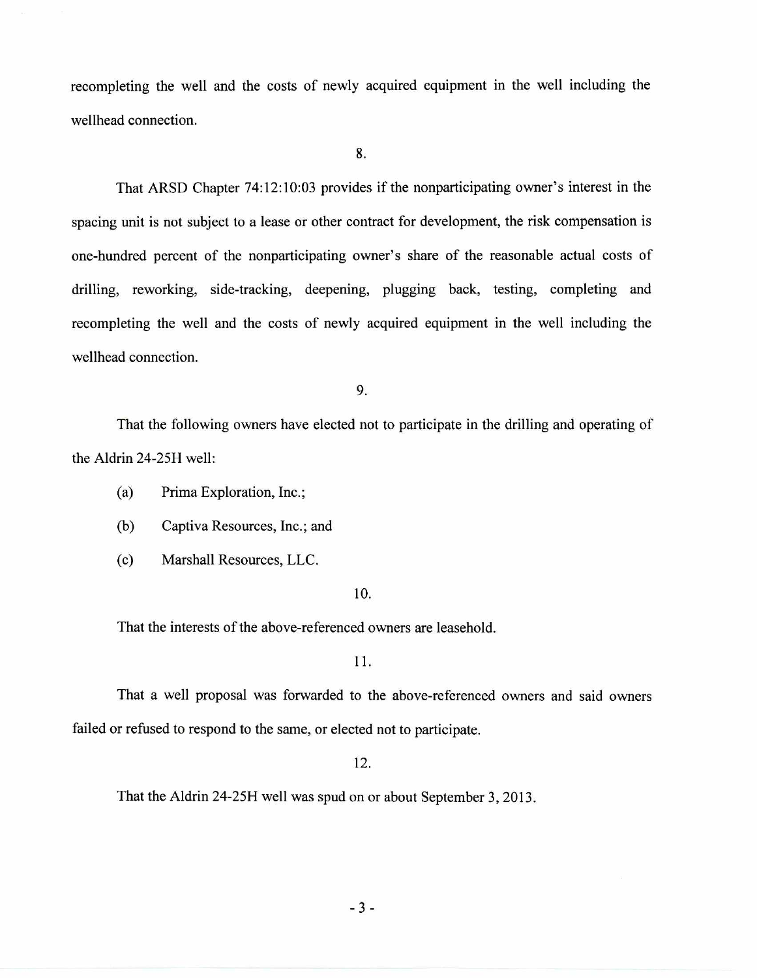recompleting the well and the costs of newly acquired equipment in the well including the wellhead connection.

8.

That ARSD Chapter 74:12:10:03 provides if the nonparticipating owner's interest in the spacing unit is not subject to a lease or other contract for development, the risk compensation is one-hundred percent of the nonparticipating owner's share of the reasonable actual costs of drilling, reworking, side-tracking, deepening, plugging back, testing, completing and recompleting the well and the costs of newly acquired equipment in the well including the wellhead connection.

9.

That the following owners have elected not to participate in the drilling and operating of the Aldrin 24-25H well:

(a) Prima Exploration, Inc.;

(b) Captiva Resources, Inc.; and

(c) Marshall Resources, LLC.

## 10.

That the interests of the above-referenced owners are leasehold.

11.

That a well proposal was forwarded to the above-referenced owners and said owners failed or refused to respond to the same, or elected not to participate.

12.

That the Aldrin 24-25H well was spud on or about September 3, 2013.